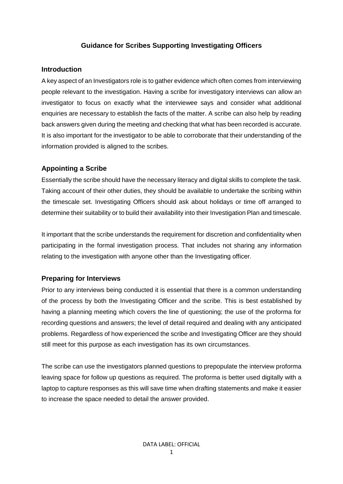# **Guidance for Scribes Supporting Investigating Officers**

#### **Introduction**

A key aspect of an Investigators role is to gather evidence which often comes from interviewing people relevant to the investigation. Having a scribe for investigatory interviews can allow an investigator to focus on exactly what the interviewee says and consider what additional enquiries are necessary to establish the facts of the matter. A scribe can also help by reading back answers given during the meeting and checking that what has been recorded is accurate. It is also important for the investigator to be able to corroborate that their understanding of the information provided is aligned to the scribes.

### **Appointing a Scribe**

Essentially the scribe should have the necessary literacy and digital skills to complete the task. Taking account of their other duties, they should be available to undertake the scribing within the timescale set. Investigating Officers should ask about holidays or time off arranged to determine their suitability or to build their availability into their Investigation Plan and timescale.

It important that the scribe understands the requirement for discretion and confidentiality when participating in the formal investigation process. That includes not sharing any information relating to the investigation with anyone other than the Investigating officer.

### **Preparing for Interviews**

Prior to any interviews being conducted it is essential that there is a common understanding of the process by both the Investigating Officer and the scribe. This is best established by having a planning meeting which covers the line of questioning; the use of the proforma for recording questions and answers; the level of detail required and dealing with any anticipated problems. Regardless of how experienced the scribe and Investigating Officer are they should still meet for this purpose as each investigation has its own circumstances.

The scribe can use the investigators planned questions to prepopulate the interview proforma leaving space for follow up questions as required. The proforma is better used digitally with a laptop to capture responses as this will save time when drafting statements and make it easier to increase the space needed to detail the answer provided.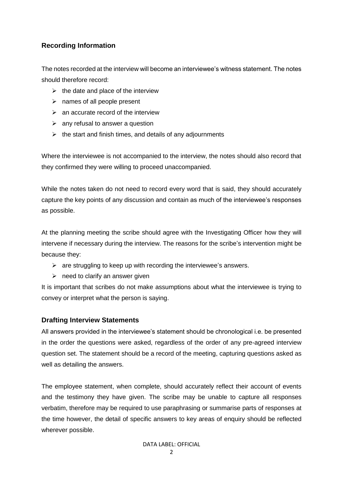# **Recording Information**

The notes recorded at the interview will become an interviewee's witness statement. The notes should therefore record:

- $\triangleright$  the date and place of the interview
- $\triangleright$  names of all people present
- $\triangleright$  an accurate record of the interview
- $\triangleright$  any refusal to answer a question
- $\triangleright$  the start and finish times, and details of any adjournments

Where the interviewee is not accompanied to the interview, the notes should also record that they confirmed they were willing to proceed unaccompanied.

While the notes taken do not need to record every word that is said, they should accurately capture the key points of any discussion and contain as much of the interviewee's responses as possible.

At the planning meeting the scribe should agree with the Investigating Officer how they will intervene if necessary during the interview. The reasons for the scribe's intervention might be because they:

- $\triangleright$  are struggling to keep up with recording the interviewee's answers.
- $\triangleright$  need to clarify an answer given

It is important that scribes do not make assumptions about what the interviewee is trying to convey or interpret what the person is saying.

### **Drafting Interview Statements**

All answers provided in the interviewee's statement should be chronological i.e. be presented in the order the questions were asked, regardless of the order of any pre-agreed interview question set. The statement should be a record of the meeting, capturing questions asked as well as detailing the answers.

The employee statement, when complete, should accurately reflect their account of events and the testimony they have given. The scribe may be unable to capture all responses verbatim, therefore may be required to use paraphrasing or summarise parts of responses at the time however, the detail of specific answers to key areas of enquiry should be reflected wherever possible.